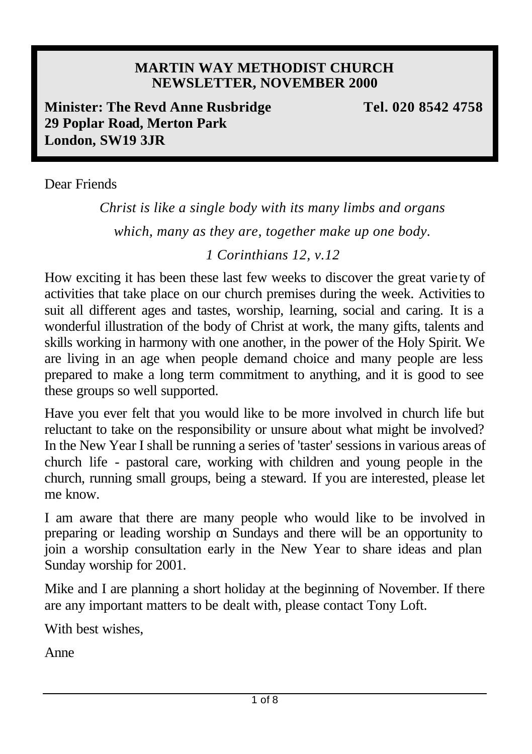#### **MARTIN WAY METHODIST CHURCH NEWSLETTER, NOVEMBER 2000**

#### **Minister: The Revd Anne Rusbridge Tel. 020 8542 4758 29 Poplar Road, Merton Park London, SW19 3JR**

Dear Friends

*Christ is like a single body with its many limbs and organs which, many as they are, together make up one body.*

*1 Corinthians 12, v.12*

How exciting it has been these last few weeks to discover the great varie ty of activities that take place on our church premises during the week. Activities to suit all different ages and tastes, worship, learning, social and caring. It is a wonderful illustration of the body of Christ at work, the many gifts, talents and skills working in harmony with one another, in the power of the Holy Spirit. We are living in an age when people demand choice and many people are less prepared to make a long term commitment to anything, and it is good to see these groups so well supported.

Have you ever felt that you would like to be more involved in church life but reluctant to take on the responsibility or unsure about what might be involved? In the New Year I shall be running a series of 'taster' sessions in various areas of church life - pastoral care, working with children and young people in the church, running small groups, being a steward. If you are interested, please let me know.

I am aware that there are many people who would like to be involved in preparing or leading worship on Sundays and there will be an opportunity to join a worship consultation early in the New Year to share ideas and plan Sunday worship for 2001.

Mike and I are planning a short holiday at the beginning of November. If there are any important matters to be dealt with, please contact Tony Loft.

With best wishes,

Anne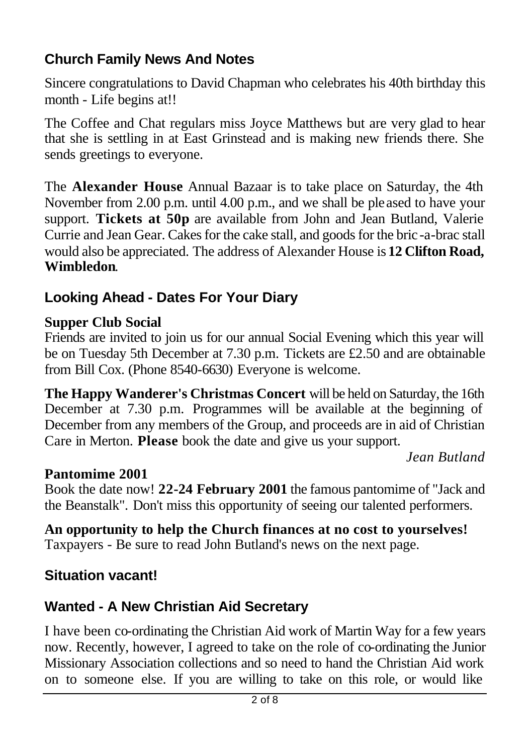## **Church Family News And Notes**

Sincere congratulations to David Chapman who celebrates his 40th birthday this month - Life begins at!!

The Coffee and Chat regulars miss Joyce Matthews but are very glad to hear that she is settling in at East Grinstead and is making new friends there. She sends greetings to everyone.

The **Alexander House** Annual Bazaar is to take place on Saturday, the 4th November from 2.00 p.m. until 4.00 p.m., and we shall be pleased to have your support. **Tickets at 50p** are available from John and Jean Butland, Valerie Currie and Jean Gear. Cakes for the cake stall, and goods for the bric -a-brac stall would also be appreciated. The address of Alexander House is **12 Clifton Road, Wimbledon**.

### **Looking Ahead - Dates For Your Diary**

#### **Supper Club Social**

Friends are invited to join us for our annual Social Evening which this year will be on Tuesday 5th December at 7.30 p.m. Tickets are £2.50 and are obtainable from Bill Cox. (Phone 8540-6630) Everyone is welcome.

**The Happy Wanderer's Christmas Concert** will be held on Saturday, the 16th December at 7.30 p.m. Programmes will be available at the beginning of December from any members of the Group, and proceeds are in aid of Christian Care in Merton. **Please** book the date and give us your support.

*Jean Butland*

#### **Pantomime 2001**

Book the date now! **22-24 February 2001** the famous pantomime of "Jack and the Beanstalk". Don't miss this opportunity of seeing our talented performers.

**An opportunity to help the Church finances at no cost to yourselves!** Taxpayers - Be sure to read John Butland's news on the next page.

### **Situation vacant!**

### **Wanted - A New Christian Aid Secretary**

I have been co-ordinating the Christian Aid work of Martin Way for a few years now. Recently, however, I agreed to take on the role of co-ordinating the Junior Missionary Association collections and so need to hand the Christian Aid work on to someone else. If you are willing to take on this role, or would like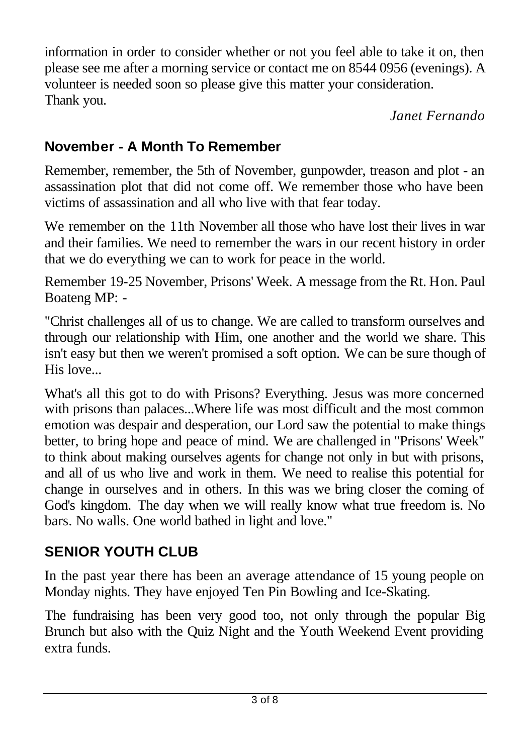information in order to consider whether or not you feel able to take it on, then please see me after a morning service or contact me on 8544 0956 (evenings). A volunteer is needed soon so please give this matter your consideration. Thank you.

*Janet Fernando* 

## **November - A Month To Remember**

Remember, remember, the 5th of November, gunpowder, treason and plot - an assassination plot that did not come off. We remember those who have been victims of assassination and all who live with that fear today.

We remember on the 11th November all those who have lost their lives in war and their families. We need to remember the wars in our recent history in order that we do everything we can to work for peace in the world.

Remember 19-25 November, Prisons' Week. A message from the Rt. Hon. Paul Boateng MP: -

"Christ challenges all of us to change. We are called to transform ourselves and through our relationship with Him, one another and the world we share. This isn't easy but then we weren't promised a soft option. We can be sure though of His love...

What's all this got to do with Prisons? Everything. Jesus was more concerned with prisons than palaces...Where life was most difficult and the most common emotion was despair and desperation, our Lord saw the potential to make things better, to bring hope and peace of mind. We are challenged in "Prisons' Week" to think about making ourselves agents for change not only in but with prisons, and all of us who live and work in them. We need to realise this potential for change in ourselves and in others. In this was we bring closer the coming of God's kingdom. The day when we will really know what true freedom is. No bars. No walls. One world bathed in light and love."

# **SENIOR YOUTH CLUB**

In the past year there has been an average attendance of 15 young people on Monday nights. They have enjoyed Ten Pin Bowling and Ice-Skating.

The fundraising has been very good too, not only through the popular Big Brunch but also with the Quiz Night and the Youth Weekend Event providing extra funds.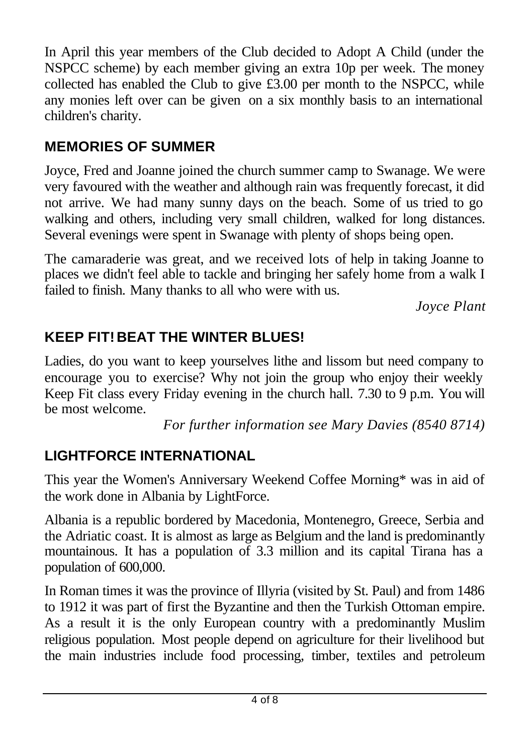In April this year members of the Club decided to Adopt A Child (under the NSPCC scheme) by each member giving an extra 10p per week. The money collected has enabled the Club to give £3.00 per month to the NSPCC, while any monies left over can be given on a six monthly basis to an international children's charity.

## **MEMORIES OF SUMMER**

Joyce, Fred and Joanne joined the church summer camp to Swanage. We were very favoured with the weather and although rain was frequently forecast, it did not arrive. We had many sunny days on the beach. Some of us tried to go walking and others, including very small children, walked for long distances. Several evenings were spent in Swanage with plenty of shops being open.

The camaraderie was great, and we received lots of help in taking Joanne to places we didn't feel able to tackle and bringing her safely home from a walk I failed to finish. Many thanks to all who were with us.

*Joyce Plant*

# **KEEP FIT! BEAT THE WINTER BLUES!**

Ladies, do you want to keep yourselves lithe and lissom but need company to encourage you to exercise? Why not join the group who enjoy their weekly Keep Fit class every Friday evening in the church hall. 7.30 to 9 p.m. You will be most welcome.

*For further information see Mary Davies (8540 8714)*

# **LIGHTFORCE INTERNATIONAL**

This year the Women's Anniversary Weekend Coffee Morning\* was in aid of the work done in Albania by LightForce.

Albania is a republic bordered by Macedonia, Montenegro, Greece, Serbia and the Adriatic coast. It is almost as large as Belgium and the land is predominantly mountainous. It has a population of 3.3 million and its capital Tirana has a population of 600,000.

In Roman times it was the province of Illyria (visited by St. Paul) and from 1486 to 1912 it was part of first the Byzantine and then the Turkish Ottoman empire. As a result it is the only European country with a predominantly Muslim religious population. Most people depend on agriculture for their livelihood but the main industries include food processing, timber, textiles and petroleum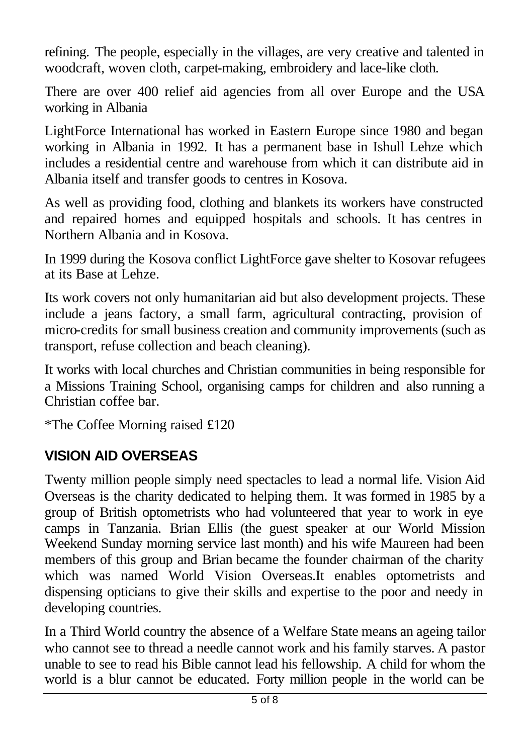refining. The people, especially in the villages, are very creative and talented in woodcraft, woven cloth, carpet-making, embroidery and lace-like cloth.

There are over 400 relief aid agencies from all over Europe and the USA working in Albania

LightForce International has worked in Eastern Europe since 1980 and began working in Albania in 1992. It has a permanent base in Ishull Lehze which includes a residential centre and warehouse from which it can distribute aid in Albania itself and transfer goods to centres in Kosova.

As well as providing food, clothing and blankets its workers have constructed and repaired homes and equipped hospitals and schools. It has centres in Northern Albania and in Kosova.

In 1999 during the Kosova conflict LightForce gave shelter to Kosovar refugees at its Base at Lehze.

Its work covers not only humanitarian aid but also development projects. These include a jeans factory, a small farm, agricultural contracting, provision of micro-credits for small business creation and community improvements (such as transport, refuse collection and beach cleaning).

It works with local churches and Christian communities in being responsible for a Missions Training School, organising camps for children and also running a Christian coffee bar.

\*The Coffee Morning raised £120

## **VISION AID OVERSEAS**

Twenty million people simply need spectacles to lead a normal life. Vision Aid Overseas is the charity dedicated to helping them. It was formed in 1985 by a group of British optometrists who had volunteered that year to work in eye camps in Tanzania. Brian Ellis (the guest speaker at our World Mission Weekend Sunday morning service last month) and his wife Maureen had been members of this group and Brian became the founder chairman of the charity which was named World Vision Overseas.It enables optometrists and dispensing opticians to give their skills and expertise to the poor and needy in developing countries.

In a Third World country the absence of a Welfare State means an ageing tailor who cannot see to thread a needle cannot work and his family starves. A pastor unable to see to read his Bible cannot lead his fellowship. A child for whom the world is a blur cannot be educated. Forty million people in the world can be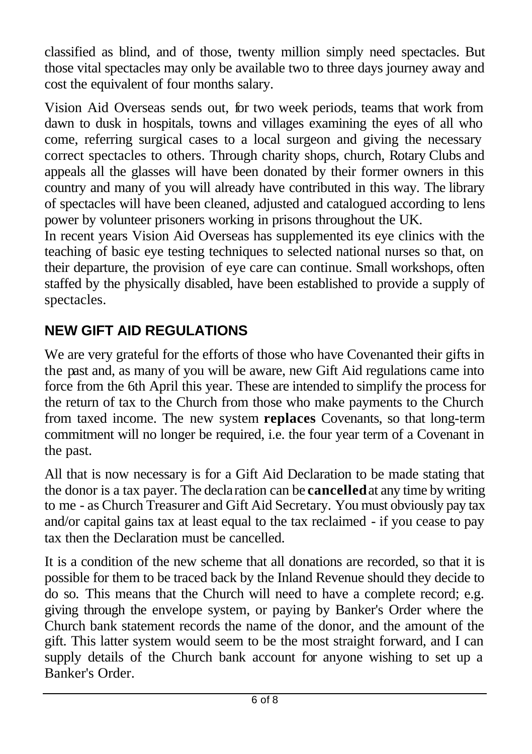classified as blind, and of those, twenty million simply need spectacles. But those vital spectacles may only be available two to three days journey away and cost the equivalent of four months salary.

Vision Aid Overseas sends out, for two week periods, teams that work from dawn to dusk in hospitals, towns and villages examining the eyes of all who come, referring surgical cases to a local surgeon and giving the necessary correct spectacles to others. Through charity shops, church, Rotary Clubs and appeals all the glasses will have been donated by their former owners in this country and many of you will already have contributed in this way. The library of spectacles will have been cleaned, adjusted and catalogued according to lens power by volunteer prisoners working in prisons throughout the UK.

In recent years Vision Aid Overseas has supplemented its eye clinics with the teaching of basic eye testing techniques to selected national nurses so that, on their departure, the provision of eye care can continue. Small workshops, often staffed by the physically disabled, have been established to provide a supply of spectacles.

# **NEW GIFT AID REGULATIONS**

We are very grateful for the efforts of those who have Covenanted their gifts in the past and, as many of you will be aware, new Gift Aid regulations came into force from the 6th April this year. These are intended to simplify the process for the return of tax to the Church from those who make payments to the Church from taxed income. The new system **replaces** Covenants, so that long-term commitment will no longer be required, i.e. the four year term of a Covenant in the past.

All that is now necessary is for a Gift Aid Declaration to be made stating that the donor is a tax payer. The declaration can be **cancelled** at any time by writing to me - as Church Treasurer and Gift Aid Secretary. You must obviously pay tax and/or capital gains tax at least equal to the tax reclaimed - if you cease to pay tax then the Declaration must be cancelled.

It is a condition of the new scheme that all donations are recorded, so that it is possible for them to be traced back by the Inland Revenue should they decide to do so. This means that the Church will need to have a complete record; e.g. giving through the envelope system, or paying by Banker's Order where the Church bank statement records the name of the donor, and the amount of the gift. This latter system would seem to be the most straight forward, and I can supply details of the Church bank account for anyone wishing to set up a Banker's Order.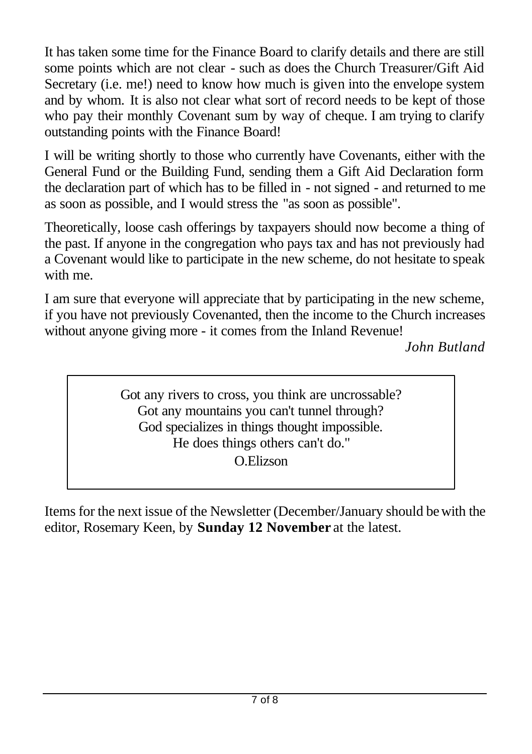It has taken some time for the Finance Board to clarify details and there are still some points which are not clear - such as does the Church Treasurer/Gift Aid Secretary (i.e. me!) need to know how much is given into the envelope system and by whom. It is also not clear what sort of record needs to be kept of those who pay their monthly Covenant sum by way of cheque. I am trying to clarify outstanding points with the Finance Board!

I will be writing shortly to those who currently have Covenants, either with the General Fund or the Building Fund, sending them a Gift Aid Declaration form the declaration part of which has to be filled in - not signed - and returned to me as soon as possible, and I would stress the "as soon as possible".

Theoretically, loose cash offerings by taxpayers should now become a thing of the past. If anyone in the congregation who pays tax and has not previously had a Covenant would like to participate in the new scheme, do not hesitate to speak with me.

I am sure that everyone will appreciate that by participating in the new scheme, if you have not previously Covenanted, then the income to the Church increases without anyone giving more - it comes from the Inland Revenue!

*John Butland*

Got any rivers to cross, you think are uncrossable? Got any mountains you can't tunnel through? God specializes in things thought impossible. He does things others can't do." O.Elizson

Items for the next issue of the Newsletter (December/January should be with the editor, Rosemary Keen, by **Sunday 12 November** at the latest.